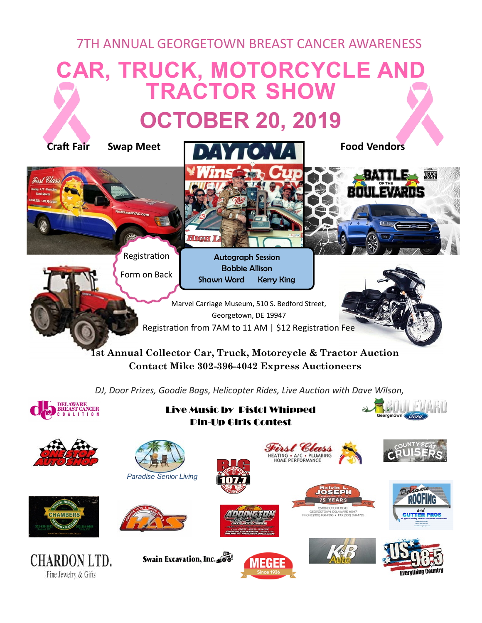## 7TH ANNUAL GEORGETOWN BREAST CANCER AWARENESS

## **CAR, TRUCK, MOTORCYCLE AND TRACTOR SHOW OCTOBER 20, 2019**



**Contact Mike 302-396-4042 Express Auctioneers**

*DJ, Door Prizes, Goodie Bags, Helicopter Rides, Live Auction with Dave Wilson,* 



Live Music by Pistol Whipped Pin-Up Girls Contest